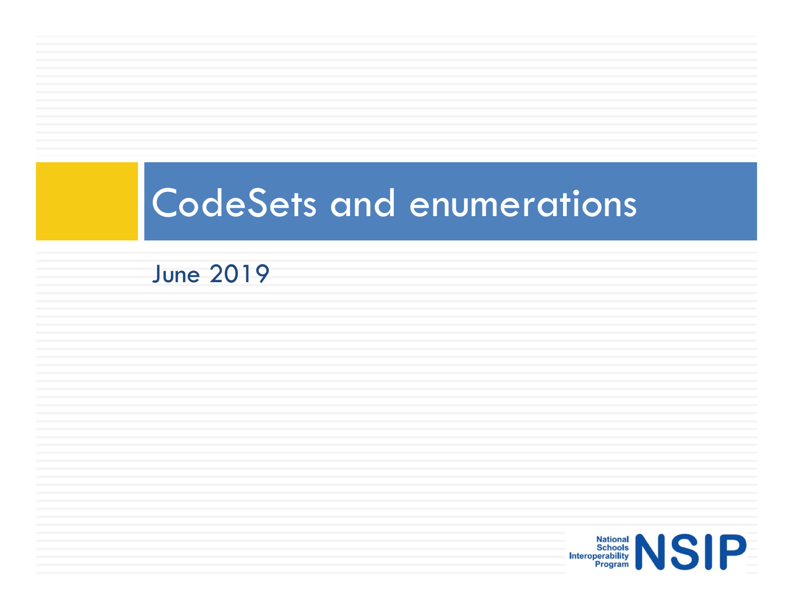### CodeSets and enumerations

#### June 2019

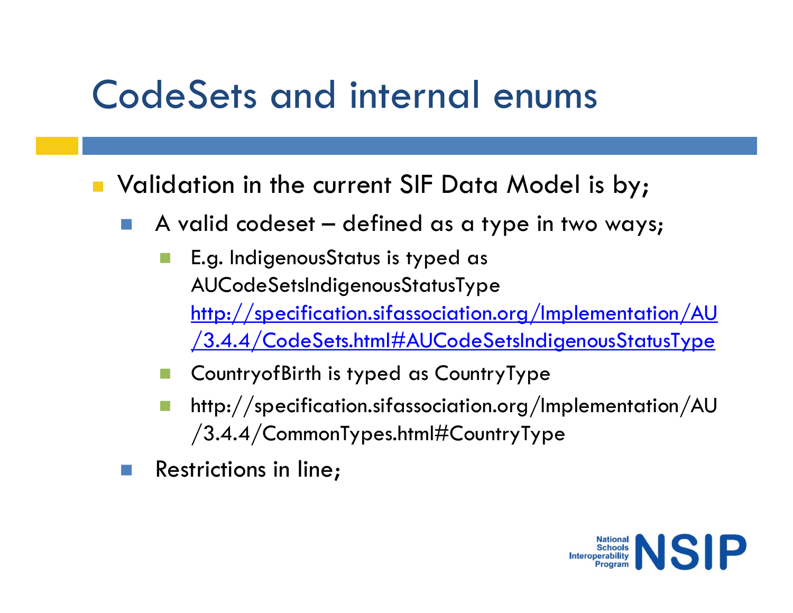# CodeSets and internal enums

**Nombiation in the current SIF Data Model is by;** 

- 
- **OdeSets and internal enums**<br>
Validation in the current SIF Data Model is by;<br>
A valid codeset defined as a type in two ways;<br> **E.g.** IndigenousStatus is typed as<br>
AUCodeSetsIndigenousStatusType **E.g. Indigenous State Indigenous State Indigenous**<br> **E.g. IndigenousStatus is typed as**<br> **E.g. IndigenousStatus is typed as**<br> **A** valid codeset — defined as a type in two ways;<br> **E.g.** IndigenousStatus is typed as<br>
AUCode AUCodeSetsIndigenousStatusType http://specification.sifassociation.org/Implementation/AU /3.4.4/CodeSets.html#AUCodeSetsIndigenousStatusType idation in the current SIF Data Model is by;<br>
A valid codeset – defined as a type in two ways;<br>
■ E.g. IndigenousStatus is typed as<br>
AUCodeSetsIndigenousStatusType<br>
http://specification.sifassociation.org/Implementation/A
	-
	- http://specification.sifassociation.org/Implementation/AU /3.4.4/CommonTypes.html#CountryType
- Restrictions in line;

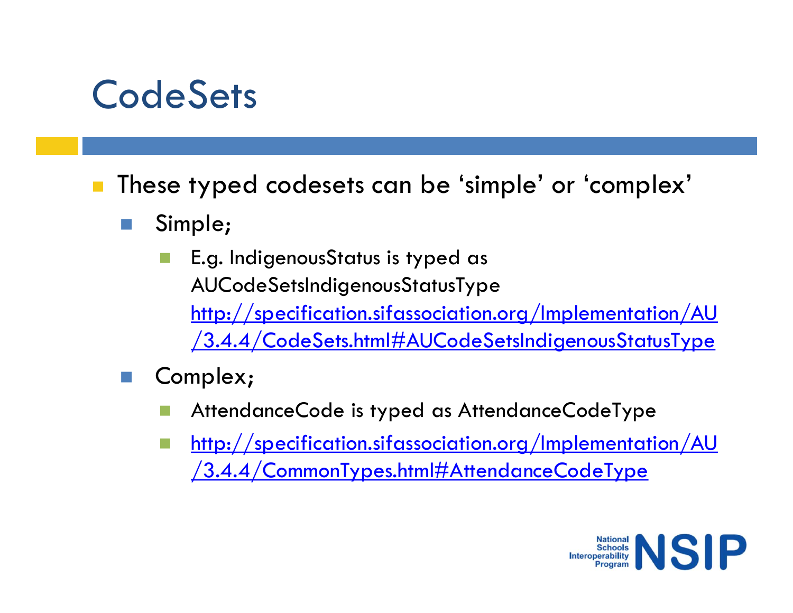#### **CodeSets**

CodeSets<br>
These typed codesets can be 'simple' or 'complex'<br>
Simple;<br>
E.g. IndigenousStatus is typed as

- Simple;
- **LeSets<br>
Se typed codesets can be 'simple' or 'complex'<br>
Simple;<br>
E.g. IndigenousStatus is typed as<br>
AUCodeSetsIndigenousStatusType<br>
http://specification.sifassociation.org/Implementation/AU<br>
http://specification.sifassoci** AUCodeSetsIndigenousStatusType http://specification.sifassociation.org/Implementation/AU /3.4.4/CodeSets.html#AUCodeSetsIndigenousStatusType se typed codesets can be 'simple' or 'complex'<br>
Simple;<br>
E.g. IndigenousStatus is typed as<br>
AUCodeSetsIndigenousStatusType<br>
<u>http://specification.sifassociation.org/Implementation/AU</u><br>
<u>/3.4.4/CodeSets.html#AUCodeSetsIndig</u>
- Complex;
	-
	- **http://specification.sifassociation.org/Implementation/AU** /3.4.4/CommonTypes.html#AttendanceCodeType

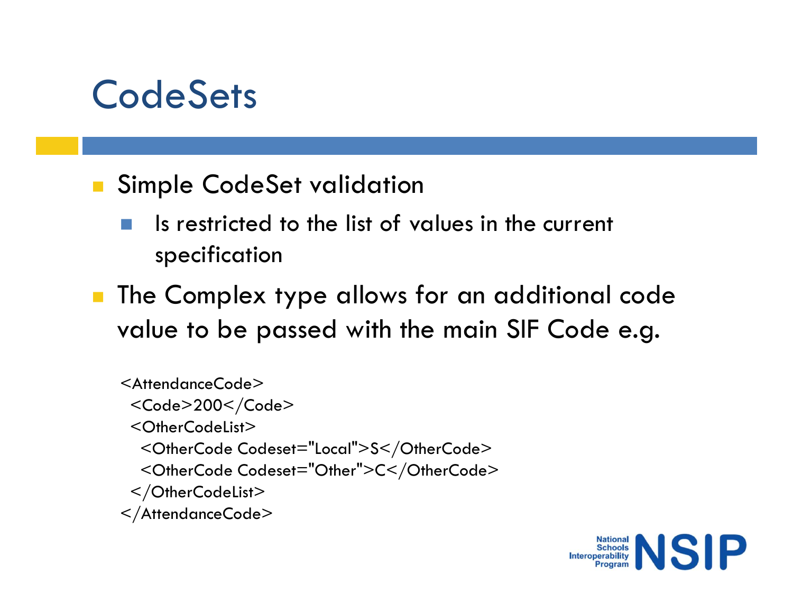#### **CodeSets**

- CodeSets<br>
Simple CodeSet validation<br>
Is restricted to the list of values in the current<br>
specification Is restricted to the list of values in the current specification
- The Complex type allows for an additional code value to be passed with the main SIF Code e.g.

<AttendanceCode> <Code>200</Code> <OtherCodeList> Is restricted to the list of values in the current<br>specification<br>e Complex type allows for an additional code<br>slue to be passed with the main SIF Code e.g.<br>trendanceCode><br>Code>200</Code><br>Code>200</Code="Local">S</OtherCode Is restricted to the list of values in the current<br>specification<br>e Complex type allows for an additional code<br>slue to be passed with the main SIF Code e.g.<br>tendanceCode><br>Code=200</Code><br><CoherCodeList><br><CotherCodeList><br>/Ot </OtherCodeList> </AttendanceCode>

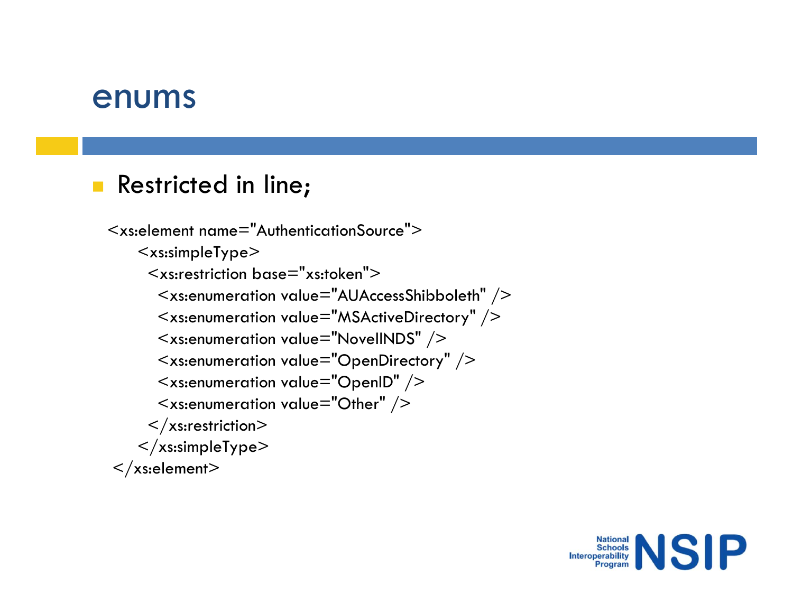#### enums

#### Restricted in line;

```
:<br>
2020 - Multimary Marson Christen<br>
Multimary - AuthenticationSource"><br>
- Xs:simpleType><br>
- Xs:restriction base="xs:token"><br>
- Xs:enumeration value="AUAccessShibboleth" />
        <xs:simpleType>
            IMS<br>stricted in line;<br>lement name="AuthenticationSource"><br>xs:simpleType><br><xs:restriction base="xs:token"><br><xs:enumeration value="AUAccessShibboleth" /><br><xs:enumeration value="MSActiveDirectory" /><br><xs:enumeration value="
               <xs:enumeration value="AUAccessShibboleth" />
               <xs:enumeration value="MSActiveDirectory" />
               Tricted in line;<br>
tricted in line;<br>
s:simpleType><br>
s:simpleType><br>
xs:restriction base="xs:token"><br>
<xs:enumeration value="AUAccessShibboleth" /><br>
<xs:enumeration value="MSActiveDirectory" /><br>
<xs:enumeration value="Novel
               <xs:enumeration value="OpenDirectory" />
               tricted in line;<br>
<br>
s:simpleType><br>
s:simpleType><br>
xs:restriction base="xs:token"><br>
<xs:enumeration value="AUAccessShibboleth" /><br>
<xs:enumeration value="MSActiveDirectory" /><br>
<xs:enumeration value="NovellNDS" /><br>
<xs:en
               tricted in line;<br>
entertianal memory and the state of the state of the state of the state of the state of the state of the state of the state of the state of the state of the state of the state of the state of the state of
           \langlexs:restriction>\langle xs:simpleType>\langle xs:element\rangle
```
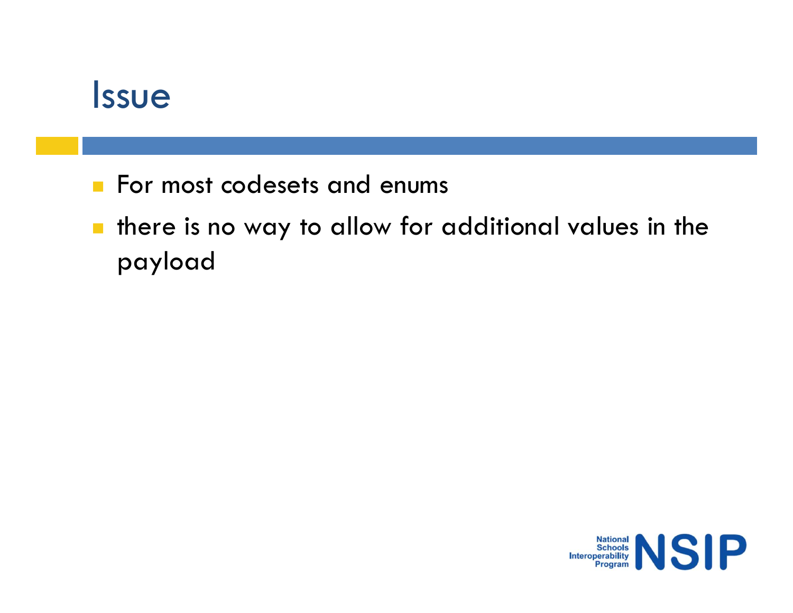#### Issue

- 
- **SAME:**<br>For most codesets and enums<br>**Formost codesets and enums**<br>Formost collow for additional values in payload **There is no way to allow for additional values in the** payload

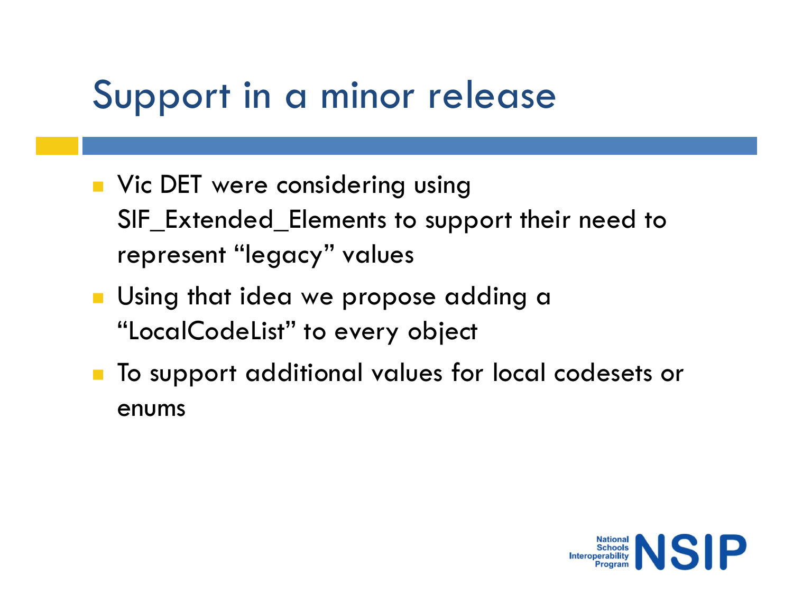#### Support in a minor release

- **No. 25 Vic DET were considering using** Upport in a minor release<br>Vic DET were considering using<br>SIF\_Extended\_Elements to support their need to<br>represent "legacy" values<br>Using that idea we propose adding a represent "legacy" values ■ Vic DET were considering using<br>SIF\_Extended\_Elements to support their need to<br>represent "legacy" values<br>■ Using that idea we propose adding a<br>"LocalCodeList" to every object<br>■ To support additional values for local code
- **Using that idea we propose adding a** "LocalCodeList" to every object
- enums

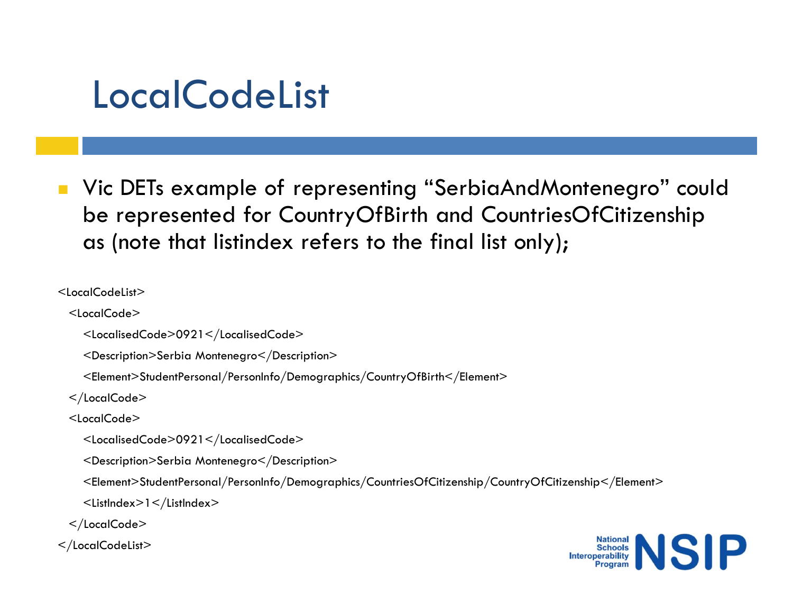#### LocalCodeList

■ Vic DETs example of representing "SerbiaAndMontenegro" could LocalCodeList<br>Vic DETs example of representing "SerbiaAndMontenegro" could<br>be represented for CountryOfBirth and CountriesOfCitizenship<br>as (note that listindex refers to the final list only); LocalCodeList<br>Vic DETs example of representing "SerbiaAndMontenegrable represented for CountryOfBirth and CountriesOfCitize<br>as (note that listindex refers to the final list only);<br>alCodeList><br>calCodels>

<LocalCodeList>

<LocalCode>

<LocalisedCode>0921</LocalisedCode>

<Description>Serbia Montenegro</Description>

<Element>StudentPersonal/PersonInfo/Demographics/CountryOfBirth</Element>

</LocalCode>

<LocalCode>

<LocalisedCode>0921</LocalisedCode>

<Description>Serbia Montenegro</Description>

<Element>StudentPersonal/PersonInfo/Demographics/CountriesOfCitizenship/CountryOfCitizenship</Element>

<ListIndex>1</ListIndex>

</LocalCode>

</LocalCodeList>

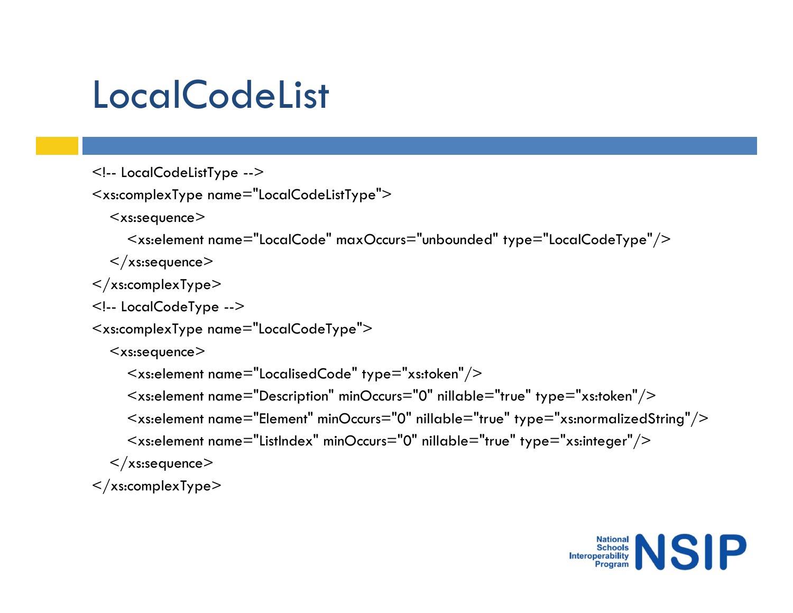## **LocalCodeList** LocalCodeList<br>
<!-- LocalCodeListType --><br>
<xs:complexType name="LocalCodeListType"><br>
<xs:sequence><br>
<xs:element name="LocalCode" maxOccurs="unbounded" type="Loc LocalCodeList<br><!-- LocalCodeListType --><br><xs:complexType name="LocalCodeListType"><br><xs:sequence><br><<xs:element name="LocalCode" maxOccurs="unbounded" type="LocalCo<br></xs:sequence> LocalCodeListType --><br>
<!-- LocalCodeListType --><br>
<xs:complexType name="LocalCodeListType"><br>
<xs:sequence><br>
<<xs:element name="LocalCode" maxOccurs="unbounded" type="l<br>
</xs:complexType><br>
</xs:complexType --><br>
<xs:complex LocalCodeListType --><br>
<xs:complexType name="LocalCodeListType"><br>
<xs:complexType name="LocalCodeListType"><br>
<xs:sequence><br>
<xs:element name="LocalCode" maxOccurs="unbounded" type="Local<br>
</xs:complexType><br>
</xs:complexTyp

<xs:sequence>

```
calCodeListType --><br>ocalCodeListType --><br>omplexType name="LocalCodeListType"><br><xs:element name="LocalCode" maxOccurs="unbounded" type="LocalCodeType"/><br>xs:selement><br>complexType><br>ocalCodeType -->
```

```
\langle x \ranglexs:sequence\langle x \rangle
```

```
\langle xs:complexType\rangle
```

```
<xs:sequence>
```

```
ocalCodeListType --><br>
s:sequence><br>
<xs:element name="LocalCodeListType"><br>
<xs:element name="LocalCode" maxOccurs="unbounded" type="LocalCodeType"/><br>
xs:sequence><br>
complexType ---><br>
s:sequence><br>
<xs:element name="LocalCodeT
ocalCodeListType --><br>
ssequence><br>
ssequence><br>
<xs:element name="localCode" maxOccurs="unbounded" type="localCodeType"/><br>
xs:sequence><br>
complexType --><br>
ssequence><br>
-<br>
ssequence><br>
<xs:element name="localisedCode" type="xs:t
ocalCodelistType --><br>
s:sequence><br>
s:sequence><br>
<xs:element name="LocalCode" maxOccurs="unbounded" type="LocalCodeType"/><br>
<xs:element name="LocalCodeType"><br>
ocalCodeType --><br>
s:sequence><br>
<xs:element name="LocalisedCode" 
omplexType name="localCodelistType"><br>
s:sequence><br>
<xs:element name="localCode" maxOccurs="unbounded" type="localCodeType"/><br>
x:sequence><br>
coalCodeType --><br>
omplexType name="localCodeType"><br>
s:sequence><br>
<xs:element name="
```

```
\langle x \rangles:sequence\langle x \rangle
```

```
</xs:complexType>
```
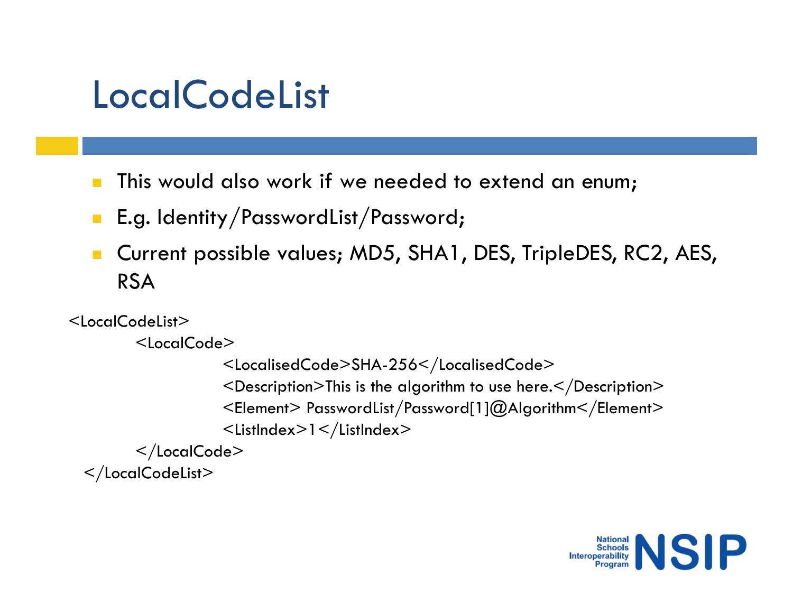#### **LocalCodeList**

- This would also work if we needed to extend an enum;
- **E.g. Identity/PasswordList/Password;**
- **Current possible values; MD5, SHA1, DES, TripleDES, RC2, AES,** RSA

```
<LocalCodeList>
```

```
<LocalCode>
```

```
<LocalisedCode>SHA-256</LocalisedCode>
           <Description>This is the algorithm to use here.</Description>
           <Element> PasswordList/Password[1]@Algorithm</Element>
           <ListIndex>1</ListIndex> 
</LocalCode>
```

```
</LocalCodeList>
```
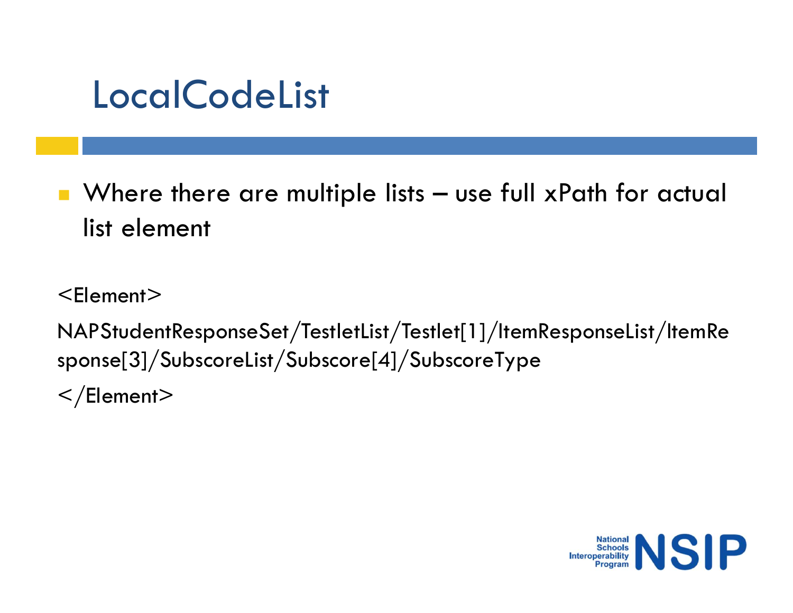#### **LocalCodeList**

LocalCodeList<br>- Where there are multiple lists – use full xPath for actual<br>- list element list element

<Element>

NAPStudentResponseSet/TestletList/Testlet[1]/ItemResponseList/ItemRe sponse[3]/SubscoreList/Subscore[4]/SubscoreType  $\langle$ Element $\rangle$